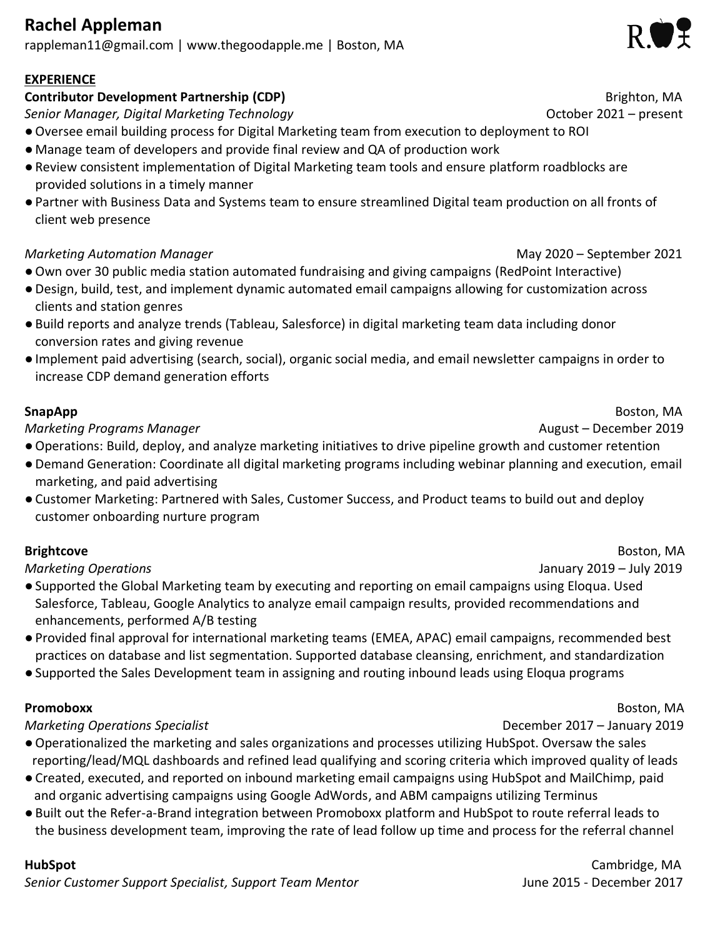# **Rachel Appleman**

rappleman11@gmail.com | www.thegoodapple.me | Boston, MA

## **EXPERIENCE**

## **Contributor Development Partnership (CDP) Brighton, MA**

*Senior Manager, Digital Marketing Technology* **Changer and Community Community Construction Community Community Community Community Community Community Community Community Community Community Community Community Community** 

- ●Oversee email building process for Digital Marketing team from execution to deployment to ROI
- Manage team of developers and provide final review and QA of production work
- ●Review consistent implementation of Digital Marketing team tools and ensure platform roadblocks are provided solutions in a timely manner
- ●Partner with Business Data and Systems team to ensure streamlined Digital team production on all fronts of client web presence

## *Marketing Automation Manager* May 2020 – September 2021

- ●Own over 30 public media station automated fundraising and giving campaigns (RedPoint Interactive)
- ●Design, build, test, and implement dynamic automated email campaigns allowing for customization across clients and station genres
- ●Build reports and analyze trends (Tableau, Salesforce) in digital marketing team data including donor conversion rates and giving revenue
- ●Implement paid advertising (search, social), organic social media, and email newsletter campaigns in order to increase CDP demand generation efforts

*Marketing Programs Manager* **August – December 2019 August – December 2019** 

- ●Operations: Build, deploy, and analyze marketing initiatives to drive pipeline growth and customer retention
- ●Demand Generation: Coordinate all digital marketing programs including webinar planning and execution, email marketing, and paid advertising
- ●Customer Marketing: Partnered with Sales, Customer Success, and Product teams to build out and deploy customer onboarding nurture program

## **Brightcove** Boston, MA

*Marketing Operations* January 2019 – July 2019

- ●Supported the Global Marketing team by executing and reporting on email campaigns using Eloqua. Used Salesforce, Tableau, Google Analytics to analyze email campaign results, provided recommendations and enhancements, performed A/B testing
- ●Provided final approval for international marketing teams (EMEA, APAC) email campaigns, recommended best practices on database and list segmentation. Supported database cleansing, enrichment, and standardization
- ●Supported the Sales Development team in assigning and routing inbound leads using Eloqua programs

## **Promoboxx** Boston, MA

## *Marketing Operations Specialist* December 2017 – January 2019

- ●Operationalized the marketing and sales organizations and processes utilizing HubSpot. Oversaw the sales reporting/lead/MQL dashboards and refined lead qualifying and scoring criteria which improved quality of leads
- ●Created, executed, and reported on inbound marketing email campaigns using HubSpot and MailChimp, paid and organic advertising campaigns using Google AdWords, and ABM campaigns utilizing Terminus
- ●Built out the Refer-a-Brand integration between Promoboxx platform and HubSpot to route referral leads to the business development team, improving the rate of lead follow up time and process for the referral channel

*Senior Customer Support Specialist, Support Team Mentor* June 2015 - December 2017

**HubSpot** Cambridge, MA

**SnapApp** Boston, MA